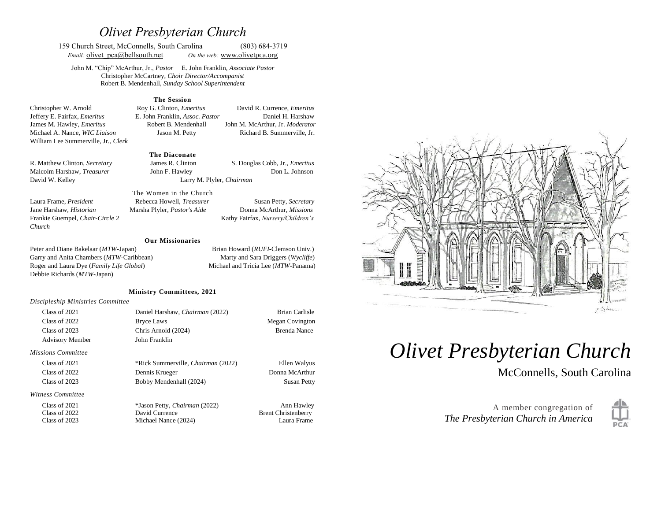# *Olivet Presbyterian Church*

159 Church Street, McConnells, South Carolina (803) 684-3719 *Email:* olivet pca@bellsouth.net *On the web:* [www.olivetp](http://www.olivet/)ca.org

John M. "Chip" McArthur, Jr., *Pastor* E. John Franklin, *Associate Pastor* Christopher McCartney, *Choir Director/Accompanist* Robert B. Mendenhall, *Sunday School Superintendent*

#### **The Session**

Christopher W. Arnold Roy G. Clinton, *Emeritus* David R. Currence, *Emeritus* Jeffery E. Fairfax, *Emeritus* E. John Franklin, *Assoc. Pastor* Daniel H. Harshaw James M. Hawley, *Emeritus* Robert B. Mendenhall John M. McArthur, Jr. *Moderator* Michael A. Nance, *WIC Liaison* Jason M. Petty Richard B. Summerville, Jr. William Lee Summerville, Jr., *Clerk*

#### **The Diaconate**

R. Matthew Clinton, *Secretary* James R. Clinton S. Douglas Cobb, Jr., *Emeritus* Malcolm Harshaw, *Treasurer* John F. Hawley **Don L. Johnson** David W. Kelley Larry M. Plyler, *Chairman* 

Frankie Guempel, *Chair-Circle 2* Kathy Fairfax, *Nursery/Children's* 

*Church*

Laura Frame, *President* Rebecca Howell, *Treasurer* Susan Petty, *Secretary*  Jane Harshaw, *Historian* Marsha Plyler, *Pastor's Aide* Donna McArthur, *Missions*

The Women in the Church

#### **Our Missionaries**

Peter and Diane Bakelaar (*MTW*-Japan) Brian Howard (*RUFI*-Clemson Univ.) Garry and Anita Chambers (*MTW*-Caribbean) Marty and Sara Driggers (*Wycliffe*) Roger and Laura Dye (*Family Life Global*) Michael and Tricia Lee (*MTW*-Panama) Debbie Richards (*MTW*-Japan)

#### **Ministry Committees, 2021**

#### *Discipleship Ministries Committee*

| Class of 2021             | Daniel Harshaw, Chairman (2022)           | <b>Brian Carlisle</b>      |
|---------------------------|-------------------------------------------|----------------------------|
| Class of 2022             | <b>Bryce Laws</b>                         | Megan Covington            |
| Class of 2023             | Chris Arnold (2024)                       | Brenda Nance               |
| <b>Advisory Member</b>    | John Franklin                             |                            |
| <b>Missions Committee</b> |                                           |                            |
| Class of 2021             | *Rick Summerville, <i>Chairman</i> (2022) | Ellen Walyus               |
| Class of 2022             | Dennis Krueger                            | Donna McArthur             |
| Class of 2023             | Bobby Mendenhall (2024)                   | <b>Susan Petty</b>         |
| Witness Committee         |                                           |                            |
| Class of 2021             | *Jason Petty, Chairman (2022)             | Ann Hawley                 |
| Class of 2022             | David Currence                            | <b>Brent Christenberry</b> |
| Class of 2023             | Michael Nance (2024)                      | Laura Frame                |
|                           |                                           |                            |



# *Olivet Presbyterian Church*

McConnells, South Carolina

A member congregation of *The Presbyterian Church in America*

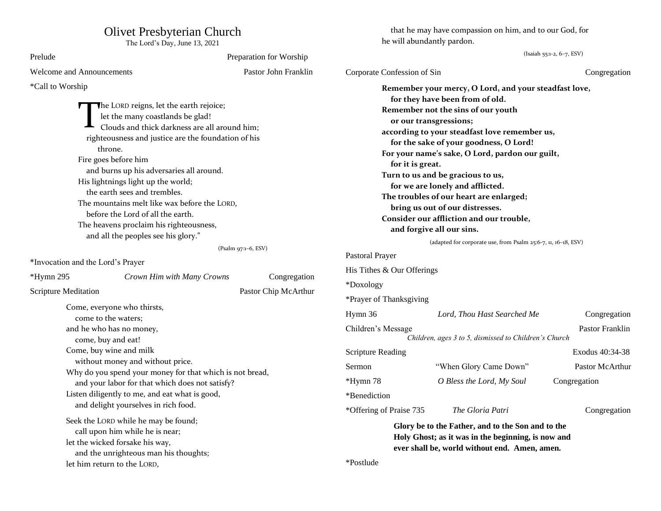## Olivet Presbyterian Church

The Lord's Day, June 13, 2021

| Prelude                                                                                                                                                                                                                                                                                                                                                                                                                                                                                                                             |                      | Preparation for Worship            | (Isaiah 55:1-2, 6-7, ESV)                                                                                                                                                                                                                                                                                                                                                                                                                                                                                 |                                                                                                                                                                              |                                 |
|-------------------------------------------------------------------------------------------------------------------------------------------------------------------------------------------------------------------------------------------------------------------------------------------------------------------------------------------------------------------------------------------------------------------------------------------------------------------------------------------------------------------------------------|----------------------|------------------------------------|-----------------------------------------------------------------------------------------------------------------------------------------------------------------------------------------------------------------------------------------------------------------------------------------------------------------------------------------------------------------------------------------------------------------------------------------------------------------------------------------------------------|------------------------------------------------------------------------------------------------------------------------------------------------------------------------------|---------------------------------|
| <b>Welcome and Announcements</b>                                                                                                                                                                                                                                                                                                                                                                                                                                                                                                    |                      | Pastor John Franklin               | Corporate Confession of Sin                                                                                                                                                                                                                                                                                                                                                                                                                                                                               |                                                                                                                                                                              | Congregation                    |
| *Call to Worship<br>The LORD reigns, let the earth rejoice;<br>let the many coastlands be glad!<br>Clouds and thick darkness are all around him;<br>righteousness and justice are the foundation of his<br>throne.<br>Fire goes before him<br>and burns up his adversaries all around.<br>His lightnings light up the world;<br>the earth sees and trembles.<br>The mountains melt like wax before the LORD,<br>before the Lord of all the earth.<br>The heavens proclaim his righteousness,<br>and all the peoples see his glory." |                      | for it is great.                   | Remember your mercy, O Lord, and your steadfast love,<br>for they have been from of old.<br>Remember not the sins of our youth<br>or our transgressions;<br>according to your steadfast love remember us,<br>for the sake of your goodness, O Lord!<br>For your name's sake, O Lord, pardon our guilt,<br>Turn to us and be gracious to us,<br>for we are lonely and afflicted.<br>The troubles of our heart are enlarged;<br>bring us out of our distresses.<br>Consider our affliction and our trouble, |                                                                                                                                                                              |                                 |
|                                                                                                                                                                                                                                                                                                                                                                                                                                                                                                                                     |                      |                                    | and forgive all our sins.<br>(adapted for corporate use, from Psalm 25:6-7, 11, 16-18, ESV)                                                                                                                                                                                                                                                                                                                                                                                                               |                                                                                                                                                                              |                                 |
| *Invocation and the Lord's Prayer<br>$*Hymn 295$<br>Crown Him with Many Crowns                                                                                                                                                                                                                                                                                                                                                                                                                                                      | (Psalm 97:1-6, ESV)  | Congregation                       | Pastoral Prayer<br>His Tithes & Our Offerings                                                                                                                                                                                                                                                                                                                                                                                                                                                             |                                                                                                                                                                              |                                 |
| <b>Scripture Meditation</b><br>Come, everyone who thirsts,                                                                                                                                                                                                                                                                                                                                                                                                                                                                          | Pastor Chip McArthur |                                    | *Doxology<br>*Prayer of Thanksgiving                                                                                                                                                                                                                                                                                                                                                                                                                                                                      |                                                                                                                                                                              |                                 |
| come to the waters;<br>and he who has no money,<br>come, buy and eat!                                                                                                                                                                                                                                                                                                                                                                                                                                                               |                      |                                    | Hymn 36<br>Children's Message                                                                                                                                                                                                                                                                                                                                                                                                                                                                             | Lord, Thou Hast Searched Me<br>Children, ages 3 to 5, dismissed to Children's Church                                                                                         | Congregation<br>Pastor Franklin |
| Come, buy wine and milk<br>without money and without price.<br>Why do you spend your money for that which is not bread,<br>and your labor for that which does not satisfy?<br>Listen diligently to me, and eat what is good,                                                                                                                                                                                                                                                                                                        |                      | <b>Scripture Reading</b><br>Sermon | "When Glory Came Down"                                                                                                                                                                                                                                                                                                                                                                                                                                                                                    | Exodus 40:34-38<br>Pastor McArthur                                                                                                                                           |                                 |
|                                                                                                                                                                                                                                                                                                                                                                                                                                                                                                                                     |                      | *Hymn 78<br>*Benediction           | O Bless the Lord, My Soul                                                                                                                                                                                                                                                                                                                                                                                                                                                                                 | Congregation                                                                                                                                                                 |                                 |
| and delight yourselves in rich food.<br>Seek the LORD while he may be found;<br>call upon him while he is near;<br>let the wicked forsake his way,<br>and the unrighteous man his thoughts;<br>let him return to the LORD,                                                                                                                                                                                                                                                                                                          |                      |                                    | *Offering of Praise 735<br>*Postlude                                                                                                                                                                                                                                                                                                                                                                                                                                                                      | The Gloria Patri<br>Glory be to the Father, and to the Son and to the<br>Holy Ghost; as it was in the beginning, is now and<br>ever shall be, world without end. Amen, amen. | Congregation                    |

that he may have compassion on him, and to our God, for

he will abundantly pardon.